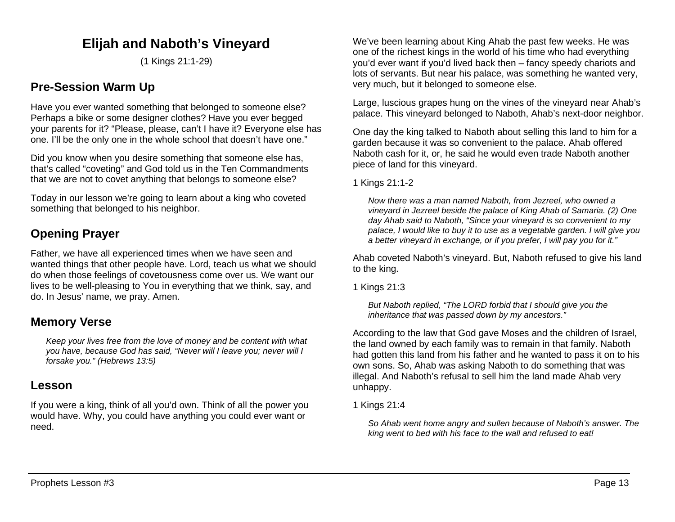# **Elijah and Naboth's Vineyard**

(1 Kings 21:1-29)

## **Pre-Session Warm Up**

Have you ever wanted something that belonged to someone else? Perhaps a bike or some designer clothes? Have you ever begged your parents for it? "Please, please, can't I have it? Everyone else has one. I'll be the only one in the whole school that doesn't have one."

Did you know when you desire something that someone else has, that's called "coveting" and God told us in the Ten Commandments that we are not to covet anything that belongs to someone else?

Today in our lesson we're going to learn about a king who coveted something that belonged to his neighbor.

## **Opening Prayer**

Father, we have all experienced times when we have seen and wanted things that other people have. Lord, teach us what we should do when those feelings of covetousness come over us. We want our lives to be well-pleasing to You in everything that we think, say, and do. In Jesus' name, we pray. Amen.

## **Memory Verse**

*Keep your lives free from the love of money and be content with what you have, because God has said, "Never will I leave you; never will I forsake you." (Hebrews 13:5)*

### **Lesson**

If you were a king, think of all you'd own. Think of all the power you would have. Why, you could have anything you could ever want or need.

We've been learning about King Ahab the past few weeks. He was one of the richest kings in the world of his time who had everything you'd ever want if you'd lived back then – fancy speedy chariots and lots of servants. But near his palace, was something he wanted very, very much, but it belonged to someone else.

Large, luscious grapes hung on the vines of the vineyard near Ahab's palace. This vineyard belonged to Naboth, Ahab's next-door neighbor.

One day the king talked to Naboth about selling this land to him for a garden because it was so convenient to the palace. Ahab offered Naboth cash for it, or, he said he would even trade Naboth another piece of land for this vineyard.

1 Kings 21:1-2

*Now there was a man named Naboth, from Jezreel, who owned a vineyard in Jezreel beside the palace of King Ahab of Samaria. (2) One day Ahab said to Naboth, "Since your vineyard is so convenient to my palace, I would like to buy it to use as a vegetable garden. I will give you a better vineyard in exchange, or if you prefer, I will pay you for it."*

Ahab coveted Naboth's vineyard. But, Naboth refused to give his land to the king.

1 Kings 21:3

*But Naboth replied, "The LORD forbid that I should give you the inheritance that was passed down by my ancestors."*

According to the law that God gave Moses and the children of Israel, the land owned by each family was to remain in that family. Naboth had gotten this land from his father and he wanted to pass it on to his own sons. So, Ahab was asking Naboth to do something that was illegal. And Naboth's refusal to sell him the land made Ahab very unhappy.

1 Kings 21:4

*So Ahab went home angry and sullen because of Naboth's answer. The king went to bed with his face to the wall and refused to eat!*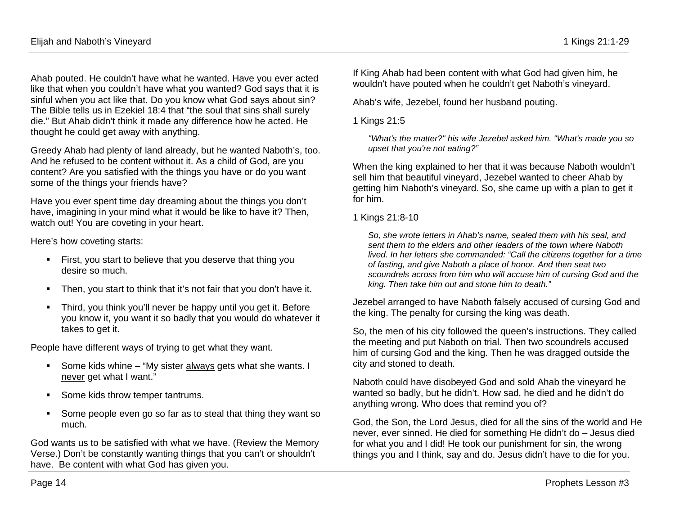Ahab pouted. He couldn't have what he wanted. Have you ever acted like that when you couldn't have what you wanted? God says that it is sinful when you act like that. Do you know what God says about sin? The Bible tells us in Ezekiel 18:4 that "the soul that sins shall surely die." But Ahab didn't think it made any difference how he acted. He thought he could get away with anything.

Greedy Ahab had plenty of land already, but he wanted Naboth's, too. And he refused to be content without it. As a child of God, are you content? Are you satisfied with the things you have or do you want some of the things your friends have?

Have you ever spent time day dreaming about the things you don't have, imagining in your mind what it would be like to have it? Then, watch out! You are coveting in your heart.

Here's how coveting starts:

- **First, you start to believe that you deserve that thing you** desire so much.
- **Then, you start to think that it's not fair that you don't have it.**
- Third, you think you'll never be happy until you get it. Before you know it, you want it so badly that you would do whatever it takes to get it.

People have different ways of trying to get what they want.

- Some kids whine "My sister always gets what she wants. I never get what I want."
- Some kids throw temper tantrums.
- Some people even go so far as to steal that thing they want so much.

God wants us to be satisfied with what we have. (Review the Memory Verse.) Don't be constantly wanting things that you can't or shouldn't have. Be content with what God has given you.

If King Ahab had been content with what God had given him, he wouldn't have pouted when he couldn't get Naboth's vineyard.

Ahab's wife, Jezebel, found her husband pouting.

1 Kings 21:5

*"What's the matter?" his wife Jezebel asked him. "What's made you so upset that you're not eating?"* 

When the king explained to her that it was because Naboth wouldn't sell him that beautiful vineyard, Jezebel wanted to cheer Ahab by getting him Naboth's vineyard. So, she came up with a plan to get it for him.

1 Kings 21:8-10

*So, she wrote letters in Ahab's name, sealed them with his seal, and sent them to the elders and other leaders of the town where Naboth lived. In her letters she commanded: "Call the citizens together for a time of fasting, and give Naboth a place of honor. And then seat two scoundrels across from him who will accuse him of cursing God and the king. Then take him out and stone him to death."* 

Jezebel arranged to have Naboth falsely accused of cursing God and the king. The penalty for cursing the king was death.

So, the men of his city followed the queen's instructions. They called the meeting and put Naboth on trial. Then two scoundrels accused him of cursing God and the king. Then he was dragged outside the city and stoned to death.

Naboth could have disobeyed God and sold Ahab the vineyard he wanted so badly, but he didn't. How sad, he died and he didn't do anything wrong. Who does that remind you of?

God, the Son, the Lord Jesus, died for all the sins of the world and He never, ever sinned. He died for something He didn't do – Jesus died for what you and I did! He took our punishment for sin, the wrong things you and I think, say and do. Jesus didn't have to die for you.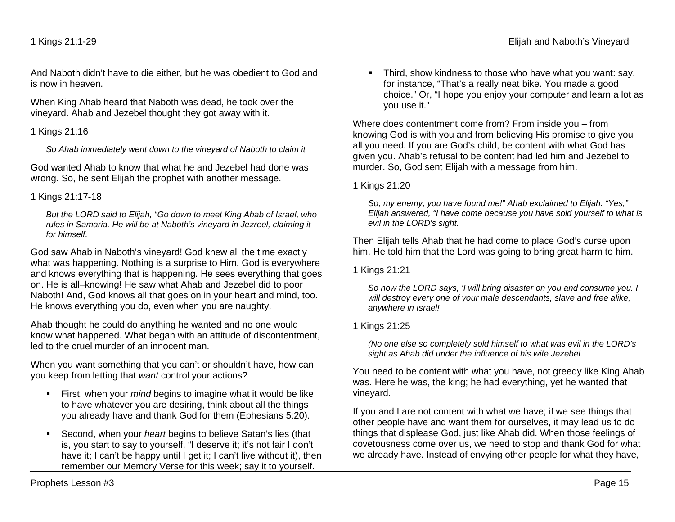And Naboth didn't have to die either, but he was obedient to God and is now in heaven.

When King Ahab heard that Naboth was dead, he took over the vineyard. Ahab and Jezebel thought they got away with it.

#### 1 Kings 21:16

*So Ahab immediately went down to the vineyard of Naboth to claim it*

God wanted Ahab to know that what he and Jezebel had done was wrong. So, he sent Elijah the prophet with another message.

#### 1 Kings 21:17-18

*But the LORD said to Elijah, "Go down to meet King Ahab of Israel, who rules in Samaria. He will be at Naboth's vineyard in Jezreel, claiming it for himself.* 

God saw Ahab in Naboth's vineyard! God knew all the time exactly what was happening. Nothing is a surprise to Him. God is everywhere and knows everything that is happening. He sees everything that goes on. He is all–knowing! He saw what Ahab and Jezebel did to poor Naboth! And, God knows all that goes on in your heart and mind, too. He knows everything you do, even when you are naughty.

Ahab thought he could do anything he wanted and no one would know what happened. What began with an attitude of discontentment, led to the cruel murder of an innocent man.

When you want something that you can't or shouldn't have, how can you keep from letting that *want* control your actions?

- First, when your *mind* begins to imagine what it would be like to have whatever you are desiring, think about all the things you already have and thank God for them (Ephesians 5:20).
- Second, when your *heart* begins to believe Satan's lies (that is, you start to say to yourself, "I deserve it; it's not fair I don't have it; I can't be happy until I get it; I can't live without it), then remember our Memory Verse for this week; say it to yourself.

**Third, show kindness to those who have what you want: say,** for instance, "That's a really neat bike. You made a good choice." Or, "I hope you enjoy your computer and learn a lot as you use it."

Where does contentment come from? From inside you – from knowing God is with you and from believing His promise to give you all you need. If you are God's child, be content with what God has given you. Ahab's refusal to be content had led him and Jezebel to murder. So, God sent Elijah with a message from him.

#### 1 Kings 21:20

*So, my enemy, you have found me!" Ahab exclaimed to Elijah. "Yes," Elijah answered, "I have come because you have sold yourself to what is evil in the LORD's sight.*

Then Elijah tells Ahab that he had come to place God's curse upon him. He told him that the Lord was going to bring great harm to him.

1 Kings 21:21

*So now the LORD says, 'I will bring disaster on you and consume you. I will destroy every one of your male descendants, slave and free alike, anywhere in Israel!*

#### 1 Kings 21:25

*(No one else so completely sold himself to what was evil in the LORD's sight as Ahab did under the influence of his wife Jezebel.*

You need to be content with what you have, not greedy like King Ahab was. Here he was, the king; he had everything, yet he wanted that vineyard.

If you and I are not content with what we have; if we see things that other people have and want them for ourselves, it may lead us to do things that displease God, just like Ahab did. When those feelings of covetousness come over us, we need to stop and thank God for what we already have. Instead of envying other people for what they have,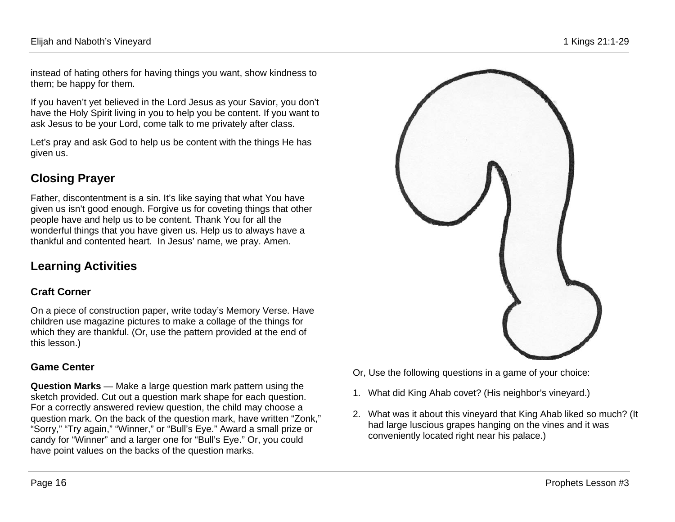instead of hating others for having things you want, show kindness to them; be happy for them.

If you haven't yet believed in the Lord Jesus as your Savior, you don't have the Holy Spirit living in you to help you be content. If you want to ask Jesus to be your Lord, come talk to me privately after class.

Let's pray and ask God to help us be content with the things He has given us.

# **Closing Prayer**

Father, discontentment is a sin. It's like saying that what You have given us isn't good enough. Forgive us for coveting things that other people have and help us to be content. Thank You for all the wonderful things that you have given us. Help us to always have a thankful and contented heart. In Jesus' name, we pray. Amen.

# **Learning Activities**

## **Craft Corner**

On a piece of construction paper, write today's Memory Verse. Have children use magazine pictures to make a collage of the things for which they are thankful. (Or, use the pattern provided at the end of this lesson.)

## **Game Center**

**Question Marks** — Make a large question mark pattern using the sketch provided. Cut out a question mark shape for each question. For a correctly answered review question, the child may choose a question mark. On the back of the question mark, have written "Zonk," "Sorry," "Try again," "Winner," or "Bull's Eye." Award a small prize or candy for "Winner" and a larger one for "Bull's Eye." Or, you could have point values on the backs of the question marks.



- Or, Use the following questions in a game of your choice:
- 1. What did King Ahab covet? (His neighbor's vineyard.)
- 2. What was it about this vineyard that King Ahab liked so much? (It had large luscious grapes hanging on the vines and it was conveniently located right near his palace.)